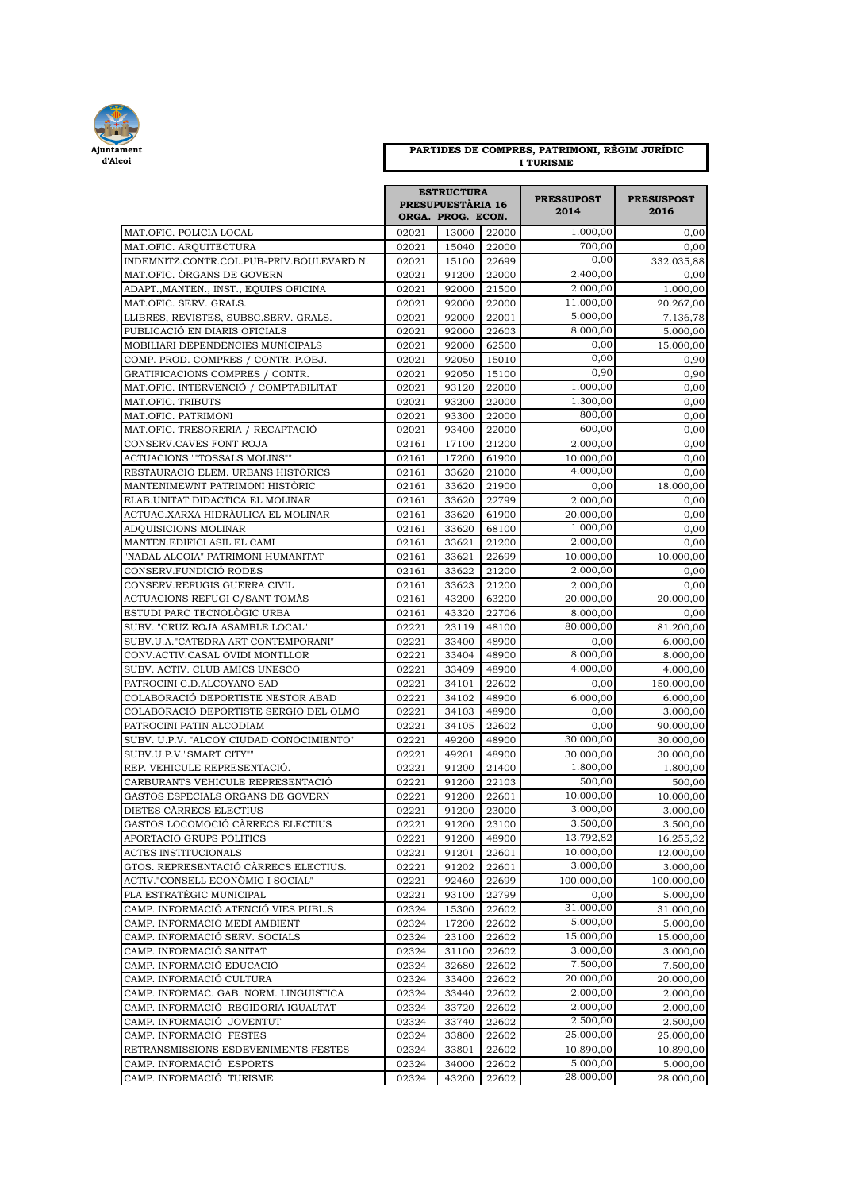

## **PARTIDES DE COMPRES, PATRIMONI, RÈGIM JURÍDIC I TURISME**

|                                                                | <b>ESTRUCTURA</b><br><b>PRESUPUESTÀRIA 16</b><br>ORGA. PROG. ECON. |                |                | <b>PRESSUPOST</b><br>2014 | <b>PRESUSPOST</b><br>2016 |
|----------------------------------------------------------------|--------------------------------------------------------------------|----------------|----------------|---------------------------|---------------------------|
| MAT.OFIC. POLICIA LOCAL                                        | 02021                                                              | 13000          | 22000          | 1.000,00                  | 0,00                      |
| MAT.OFIC. ARQUITECTURA                                         | 02021                                                              | 15040          | 22000          | 700,00                    | 0,00                      |
| INDEMNITZ.CONTR.COL.PUB-PRIV.BOULEVARD N.                      | 02021                                                              | 15100          | 22699          | 0,00                      | 332.035,88                |
| MAT.OFIC. ORGANS DE GOVERN                                     | 02021                                                              | 91200          | 22000          | 2.400,00                  | 0,00                      |
| ADAPT.,MANTEN., INST., EQUIPS OFICINA                          | 02021                                                              | 92000          | 21500          | 2.000,00                  | 1.000,00                  |
| MAT.OFIC. SERV. GRALS.                                         | 02021                                                              | 92000          | 22000          | 11.000,00                 | 20.267,00                 |
| LLIBRES, REVISTES, SUBSC.SERV. GRALS.                          | 02021                                                              | 92000          | 22001          | 5.000,00                  | 7.136,78                  |
| PUBLICACIÓ EN DIARIS OFICIALS                                  | 02021                                                              | 92000          | 22603          | 8.000,00                  | 5.000,00                  |
| MOBILIARI DEPENDÈNCIES MUNICIPALS                              | 02021                                                              | 92000          | 62500          | 0,00                      | 15.000,00                 |
| COMP. PROD. COMPRES / CONTR. P.OBJ.                            | 02021                                                              | 92050          | 15010          | 0,00                      | 0,90                      |
| GRATIFICACIONS COMPRES / CONTR.                                | 02021                                                              | 92050          | 15100          | 0,90                      | 0,90                      |
| MAT.OFIC. INTERVENCIO / COMPTABILITAT                          | 02021                                                              | 93120          | 22000          | 1.000,00                  | 0,00                      |
| MAT.OFIC. TRIBUTS                                              | 02021                                                              | 93200          | 22000          | 1.300,00                  | 0,00                      |
| MAT.OFIC. PATRIMONI                                            | 02021                                                              | 93300          | 22000          | 800,00                    | 0,00                      |
| MAT.OFIC. TRESORERIA / RECAPTACIÓ                              | 02021                                                              | 93400          | 22000          | 600,00                    | 0,00                      |
| CONSERV.CAVES FONT ROJA                                        | 02161                                                              | 17100          | 21200          | 2.000,00                  | 0,00                      |
| ACTUACIONS ""TOSSALS MOLINS""                                  | 02161                                                              | 17200          | 61900          | 10.000,00                 | 0,00                      |
| RESTAURACIÓ ELEM. URBANS HISTÒRICS                             | 02161                                                              | 33620          | 21000          | 4.000,00                  | 0,00                      |
| MANTENIMEWNT PATRIMONI HISTÒRIC                                | 02161                                                              | 33620          | 21900          | 0,00                      | 18.000,00                 |
| ELAB. UNITAT DIDACTICA EL MOLINAR                              | 02161                                                              | 33620          | 22799          | 2.000,00                  | 0,00                      |
| ACTUAC.XARXA HIDRÀULICA EL MOLINAR                             | 02161                                                              | 33620          | 61900          | 20.000,00                 | 0,00                      |
| ADQUISICIONS MOLINAR                                           | 02161                                                              | 33620          | 68100          | 1.000,00<br>2.000,00      | 0,00                      |
| MANTEN.EDIFICI ASIL EL CAMI                                    | 02161<br>02161                                                     | 33621<br>33621 | 21200          |                           | 0,00                      |
| "NADAL ALCOIA" PATRIMONI HUMANITAT                             |                                                                    |                | 22699          | 10.000,00<br>2.000,00     | 10.000,00                 |
| CONSERV.FUNDICIÓ RODES                                         | 02161                                                              | 33622<br>33623 | 21200          |                           | 0,00                      |
| CONSERV.REFUGIS GUERRA CIVIL<br>ACTUACIONS REFUGI C/SANT TOMÀS | 02161<br>02161                                                     | 43200          | 21200<br>63200 | 2.000,00<br>20.000,00     | 0,00<br>20.000,00         |
| ESTUDI PARC TECNOLOGIC URBA                                    | 02161                                                              | 43320          | 22706          | 8.000,00                  | 0,00                      |
| SUBV. "CRUZ ROJA ASAMBLE LOCAL"                                | 02221                                                              | 23119          | 48100          | 80.000,00                 | 81.200,00                 |
| SUBV.U.A. "CATEDRA ART CONTEMPORANI"                           | 02221                                                              | 33400          | 48900          | 0,00                      | 6.000,00                  |
| CONV.ACTIV.CASAL OVIDI MONTLLOR                                | 02221                                                              | 33404          | 48900          | 8.000,00                  | 8.000,00                  |
| SUBV. ACTIV. CLUB AMICS UNESCO                                 | 02221                                                              | 33409          | 48900          | 4.000,00                  | 4.000,00                  |
| PATROCINI C.D.ALCOYANO SAD                                     | 02221                                                              | 34101          | 22602          | 0,00                      | 150.000,00                |
| COLABORACIÓ DEPORTISTE NESTOR ABAD                             | 02221                                                              | 34102          | 48900          | 6.000,00                  | 6.000,00                  |
| COLABORACIÓ DEPORTISTE SERGIO DEL OLMO                         | 02221                                                              | 34103          | 48900          | 0,00                      | 3.000,00                  |
| PATROCINI PATIN ALCODIAM                                       | 02221                                                              | 34105          | 22602          | 0,00                      | 90.000,00                 |
| SUBV. U.P.V. "ALCOY CIUDAD CONOCIMIENTO"                       | 02221                                                              | 49200          | 48900          | 30.000,00                 | 30.000,00                 |
| SUBV.U.P.V."SMART CITY""                                       | 02221                                                              | 49201          | 48900          | 30.000,00                 | 30.000,00                 |
| REP. VEHICULE REPRESENTACIÓ.                                   | 02221                                                              | 91200          | 21400          | 1.800,00                  | 1.800,00                  |
| CARBURANTS VEHICULE REPRESENTACIÓ                              | 02221                                                              | 91200          | 22103          | 500,00                    | 500,00                    |
| GASTOS ESPECIALS ÒRGANS DE GOVERN                              | 02221                                                              | 91200          | 22601          | 10.000,00                 | 10.000,00                 |
| DIETES CÀRRECS ELECTIUS                                        | 02221                                                              | 91200          | 23000          | 3.000,00                  | 3.000,00                  |
| GASTOS LOCOMOCIÓ CÀRRECS ELECTIUS                              | 02221                                                              | 91200          | 23100          | 3.500,00                  | 3.500,00                  |
| APORTACIÓ GRUPS POLÍTICS                                       | 02221                                                              | 91200          | 48900          | 13.792,82                 | 16.255,32                 |
| ACTES INSTITUCIONALS                                           | 02221                                                              | 91201          | 22601          | 10.000,00                 | 12.000,00                 |
| GTOS. REPRESENTACIÓ CÀRRECS ELECTIUS.                          | 02221                                                              | 91202          | 22601          | 3.000,00                  | 3.000,00                  |
| ACTIV."CONSELL ECONÒMIC I SOCIAL"                              | 02221                                                              | 92460          | 22699          | 100.000,00                | 100.000,00                |
| PLA ESTRATÈGIC MUNICIPAL                                       | 02221                                                              | 93100          | 22799          | 0,00                      | 5.000,00                  |
| CAMP. INFORMACIÓ ATENCIÓ VIES PUBL.S                           | 02324                                                              | 15300          | 22602          | 31.000,00                 | 31.000,00                 |
| CAMP. INFORMACIÓ MEDI AMBIENT                                  | 02324                                                              | 17200          | 22602          | 5.000,00                  | 5.000,00                  |
| CAMP. INFORMACIÓ SERV. SOCIALS                                 | 02324                                                              | 23100          | 22602          | 15.000,00                 | 15.000,00                 |
| CAMP. INFORMACIÓ SANITAT                                       | 02324                                                              | 31100          | 22602          | 3.000,00                  | 3.000,00                  |
| CAMP. INFORMACIÓ EDUCACIÓ                                      | 02324                                                              | 32680          | 22602          | 7.500,00                  | 7.500,00                  |
| CAMP. INFORMACIÓ CULTURA                                       | 02324                                                              | 33400          | 22602          | 20.000,00                 | 20.000,00                 |
| CAMP. INFORMAC. GAB. NORM. LINGUISTICA                         | 02324                                                              | 33440          | 22602          | 2.000,00                  | 2.000,00                  |
| CAMP. INFORMACIÓ REGIDORIA IGUALTAT                            | 02324                                                              | 33720          | 22602          | 2.000,00                  | 2.000,00                  |
| CAMP. INFORMACIÓ JOVENTUT                                      | 02324                                                              | 33740          | 22602          | 2.500,00                  | 2.500,00                  |
| CAMP. INFORMACIÓ FESTES                                        | 02324                                                              | 33800          | 22602          | 25.000,00                 | 25.000,00                 |
| RETRANSMISSIONS ESDEVENIMENTS FESTES                           | 02324                                                              | 33801          | 22602          | 10.890,00                 | 10.890,00                 |
| CAMP. INFORMACIÓ ESPORTS                                       | 02324                                                              | 34000          | 22602          | 5.000,00                  | 5.000,00                  |
| CAMP. INFORMACIÓ TURISME                                       | 02324                                                              | 43200          | 22602          | 28.000,00                 | 28.000,00                 |